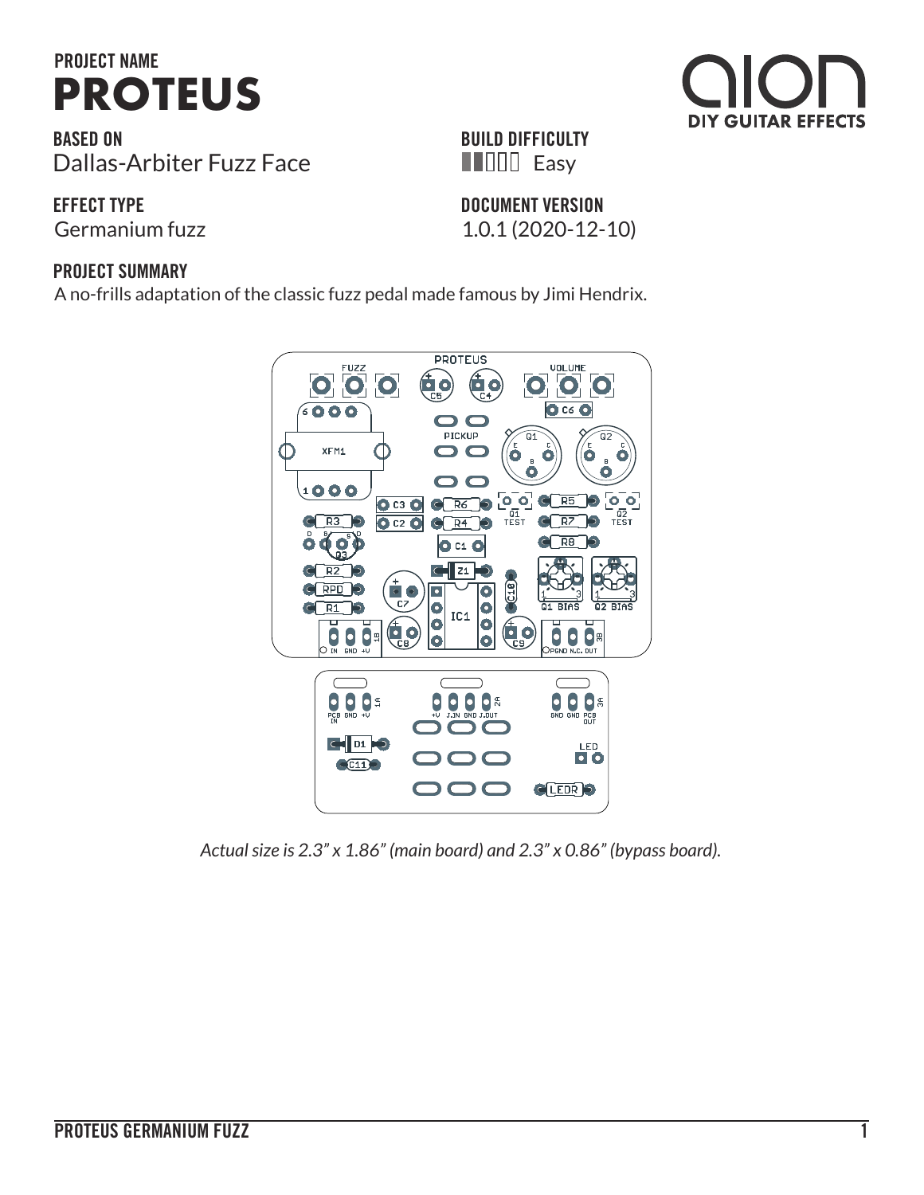

**BASED ON** Dallas-Arbiter Fuzz Face

**EFFECT TYPE**

Germanium fuzz 1.0.1 (2020-12-10)

### **BUILD DIFFICULTY Easy**

**DOCUMENT VERSION**

**DIY GUITAR EFFECTS** 

### **PROJECT SUMMARY**

A no-frills adaptation of the classic fuzz pedal made famous by Jimi Hendrix.



*Actual size is 2.3" x 1.86" (main board) and 2.3" x 0.86" (bypass board).*

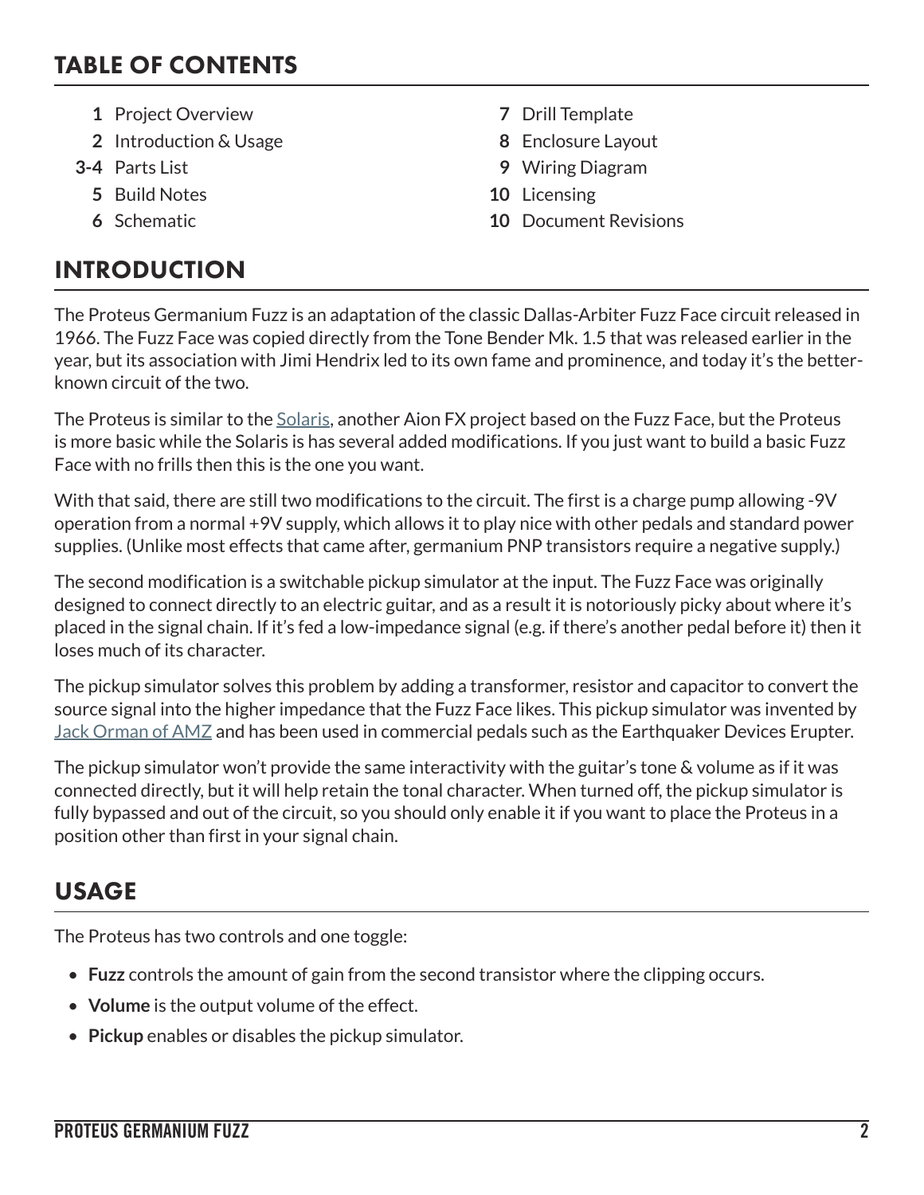## TABLE OF CONTENTS

- **1** Project Overview **7** Drill Template
- **2** Introduction & Usage **8** Enclosure Layout
- - **5** Build Notes **10** Licensing
	-

# INTRODUCTION

- 
- 
- **3-4** Parts List **9** Wiring Diagram
	-
	- **6** Schematic **10** Document Revisions

The Proteus Germanium Fuzz is an adaptation of the classic Dallas-Arbiter Fuzz Face circuit released in 1966. The Fuzz Face was copied directly from the Tone Bender Mk. 1.5 that was released earlier in the year, but its association with Jimi Hendrix led to its own fame and prominence, and today it's the betterknown circuit of the two.

The Proteus is similar to the [Solaris,](https://aionfx.com/project/solaris-germanium-fuzz/) another Aion FX project based on the Fuzz Face, but the Proteus is more basic while the Solaris is has several added modifications. If you just want to build a basic Fuzz Face with no frills then this is the one you want.

With that said, there are still two modifications to the circuit. The first is a charge pump allowing -9V operation from a normal +9V supply, which allows it to play nice with other pedals and standard power supplies. (Unlike most effects that came after, germanium PNP transistors require a negative supply.)

The second modification is a switchable pickup simulator at the input. The Fuzz Face was originally designed to connect directly to an electric guitar, and as a result it is notoriously picky about where it's placed in the signal chain. If it's fed a low-impedance signal (e.g. if there's another pedal before it) then it loses much of its character.

The pickup simulator solves this problem by adding a transformer, resistor and capacitor to convert the source signal into the higher impedance that the Fuzz Face likes. This pickup simulator was invented by [Jack Orman of AMZ](http://www.muzique.com/lab/pickups.htm) and has been used in commercial pedals such as the Earthquaker Devices Erupter.

The pickup simulator won't provide the same interactivity with the guitar's tone & volume as if it was connected directly, but it will help retain the tonal character. When turned off, the pickup simulator is fully bypassed and out of the circuit, so you should only enable it if you want to place the Proteus in a position other than first in your signal chain.

# USAGE

The Proteus has two controls and one toggle:

- **Fuzz** controls the amount of gain from the second transistor where the clipping occurs.
- **Volume** is the output volume of the effect.
- **Pickup** enables or disables the pickup simulator.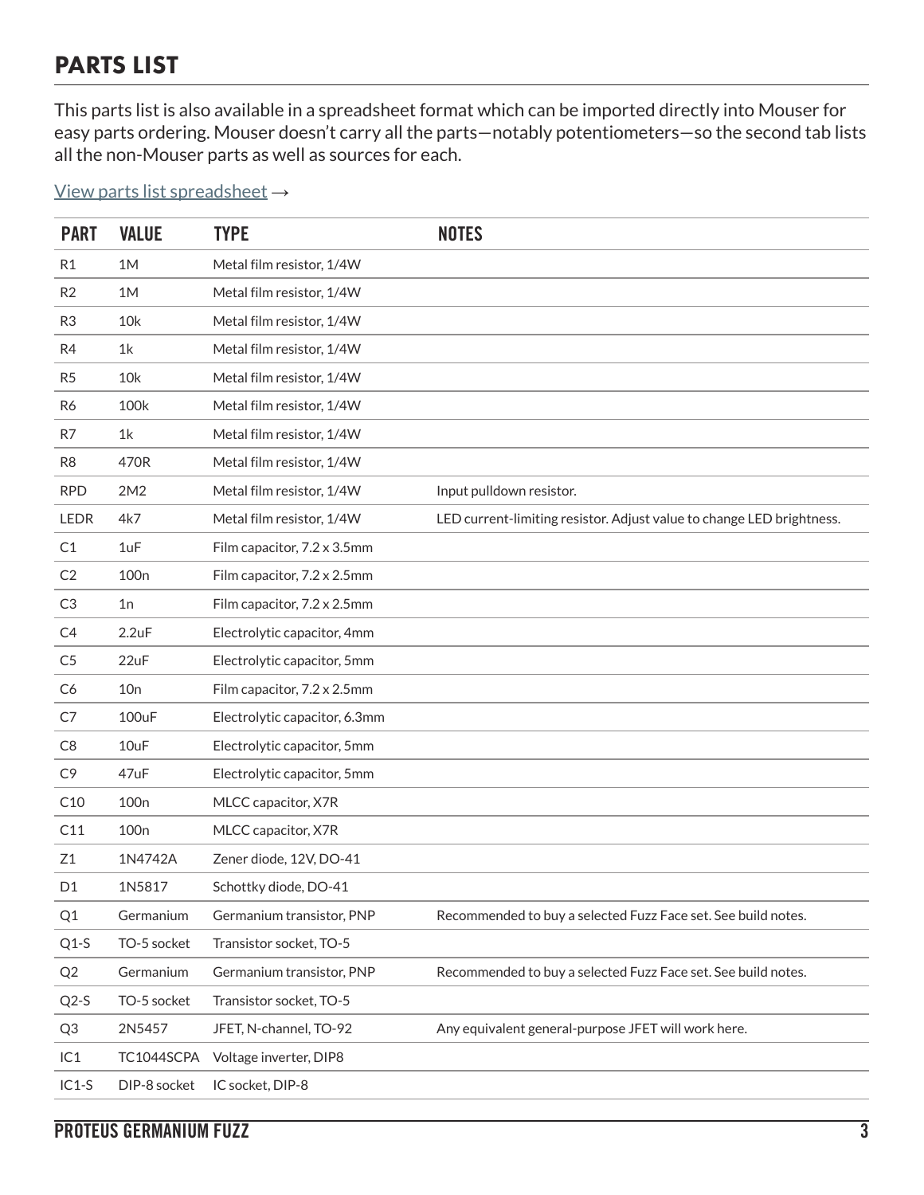## PARTS LIST

This parts list is also available in a spreadsheet format which can be imported directly into Mouser for easy parts ordering. Mouser doesn't carry all the parts—notably potentiometers—so the second tab lists all the non-Mouser parts as well as sources for each.

[View parts list spreadsheet](https://docs.google.com/spreadsheets/d/1ZzjXVBCvmMKU6MDVnLt1Sc0t_3kXFaJH7eXfxmdejwc/edit?usp=sharing) →

| <b>PART</b>    | <b>VALUE</b>     | <b>TYPE</b>                   | <b>NOTES</b>                                                          |
|----------------|------------------|-------------------------------|-----------------------------------------------------------------------|
| R <sub>1</sub> | 1M               | Metal film resistor, 1/4W     |                                                                       |
| R <sub>2</sub> | 1M               | Metal film resistor, 1/4W     |                                                                       |
| R <sub>3</sub> | 10k              | Metal film resistor, 1/4W     |                                                                       |
| R4             | 1k               | Metal film resistor, 1/4W     |                                                                       |
| R <sub>5</sub> | 10k              | Metal film resistor, 1/4W     |                                                                       |
| R6             | 100k             | Metal film resistor, 1/4W     |                                                                       |
| R7             | 1 <sup>k</sup>   | Metal film resistor, 1/4W     |                                                                       |
| R8             | 470R             | Metal film resistor, 1/4W     |                                                                       |
| <b>RPD</b>     | 2M2              | Metal film resistor, 1/4W     | Input pulldown resistor.                                              |
| <b>LEDR</b>    | 4k7              | Metal film resistor, 1/4W     | LED current-limiting resistor. Adjust value to change LED brightness. |
| C1             | 1uF              | Film capacitor, 7.2 x 3.5mm   |                                                                       |
| C <sub>2</sub> | 100 <sub>n</sub> | Film capacitor, 7.2 x 2.5mm   |                                                                       |
| C3             | 1n               | Film capacitor, 7.2 x 2.5mm   |                                                                       |
| C4             | 2.2uF            | Electrolytic capacitor, 4mm   |                                                                       |
| C <sub>5</sub> | 22uF             | Electrolytic capacitor, 5mm   |                                                                       |
| C <sub>6</sub> | 10n              | Film capacitor, 7.2 x 2.5mm   |                                                                       |
| C7             | 100uF            | Electrolytic capacitor, 6.3mm |                                                                       |
| C <sub>8</sub> | 10uF             | Electrolytic capacitor, 5mm   |                                                                       |
| C <sub>9</sub> | 47uF             | Electrolytic capacitor, 5mm   |                                                                       |
| C10            | 100 <sub>n</sub> | MLCC capacitor, X7R           |                                                                       |
| C11            | 100 <sub>n</sub> | MLCC capacitor, X7R           |                                                                       |
| Z1             | 1N4742A          | Zener diode, 12V, DO-41       |                                                                       |
| D <sub>1</sub> | 1N5817           | Schottky diode, DO-41         |                                                                       |
| Q1             | Germanium        | Germanium transistor, PNP     | Recommended to buy a selected Fuzz Face set. See build notes.         |
| $Q1-S$         | TO-5 socket      | Transistor socket, TO-5       |                                                                       |
| Q2             | Germanium        | Germanium transistor, PNP     | Recommended to buy a selected Fuzz Face set. See build notes.         |
| $Q2-S$         | TO-5 socket      | Transistor socket, TO-5       |                                                                       |
| Q3             | 2N5457           | JFET, N-channel, TO-92        | Any equivalent general-purpose JFET will work here.                   |
| IC1            | TC1044SCPA       | Voltage inverter, DIP8        |                                                                       |
| $IC1-S$        | DIP-8 socket     | IC socket, DIP-8              |                                                                       |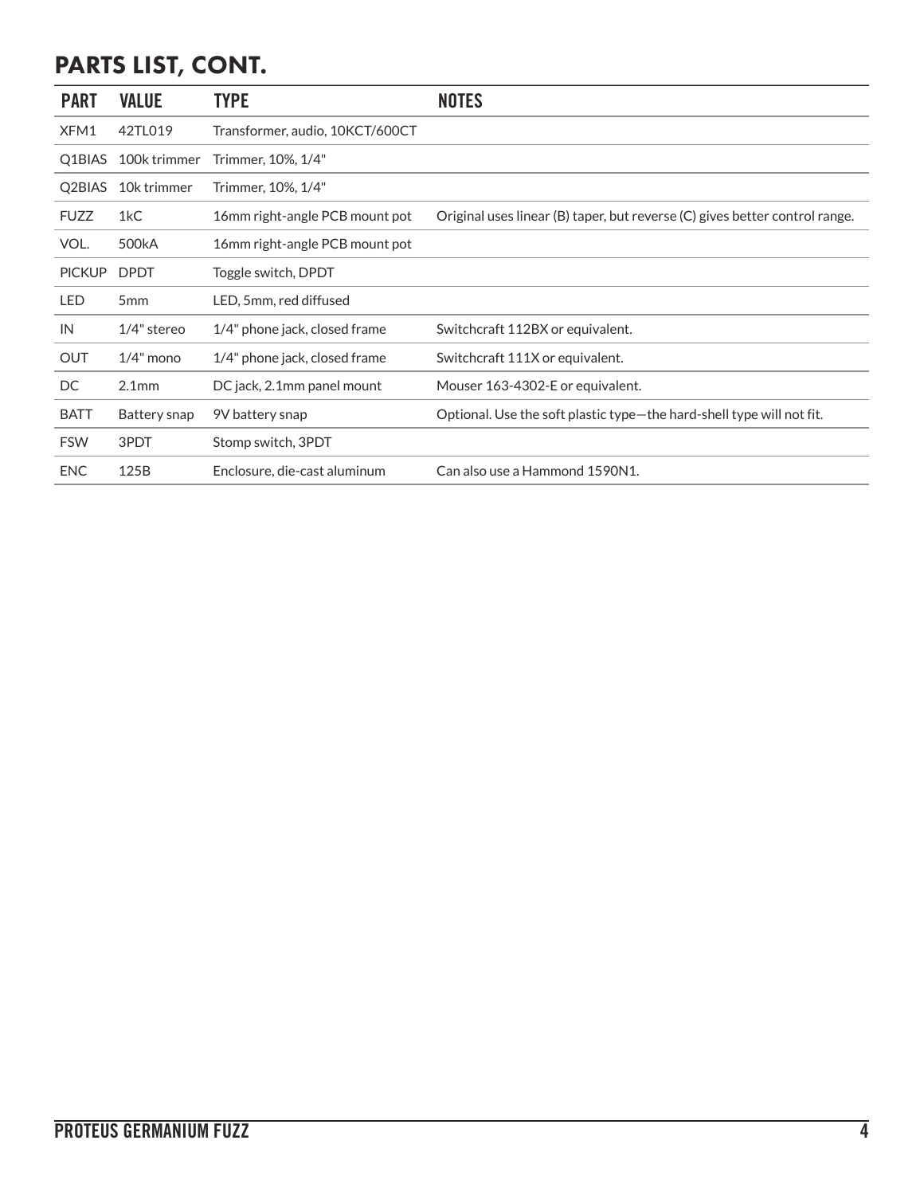# PARTS LIST, CONT.

| <b>PART</b>   | <b>VALUE</b>       | <b>TYPE</b>                     | <b>NOTES</b>                                                                |
|---------------|--------------------|---------------------------------|-----------------------------------------------------------------------------|
| XFM1          | 42TL019            | Transformer, audio, 10KCT/600CT |                                                                             |
| Q1BIAS        | 100k trimmer       | Trimmer, 10%, 1/4"              |                                                                             |
| Q2BIAS        | 10k trimmer        | Trimmer, 10%, 1/4"              |                                                                             |
| <b>FUZZ</b>   | 1kC                | 16mm right-angle PCB mount pot  | Original uses linear (B) taper, but reverse (C) gives better control range. |
| VOL.          | 500 <sub>k</sub> A | 16mm right-angle PCB mount pot  |                                                                             |
| <b>PICKUP</b> | <b>DPDT</b>        | Toggle switch, DPDT             |                                                                             |
| LED           | 5 <sub>mm</sub>    | LED, 5mm, red diffused          |                                                                             |
| IN            | $1/4$ " stereo     | 1/4" phone jack, closed frame   | Switchcraft 112BX or equivalent.                                            |
| <b>OUT</b>    | $1/4$ " mono       | 1/4" phone jack, closed frame   | Switchcraft 111X or equivalent.                                             |
| DC            | 2.1 <sub>mm</sub>  | DC jack, 2.1mm panel mount      | Mouser 163-4302-E or equivalent.                                            |
| <b>BATT</b>   | Battery snap       | 9V battery snap                 | Optional. Use the soft plastic type-the hard-shell type will not fit.       |
| <b>FSW</b>    | 3PDT               | Stomp switch, 3PDT              |                                                                             |
| <b>ENC</b>    | 125B               | Enclosure, die-cast aluminum    | Can also use a Hammond 1590N1.                                              |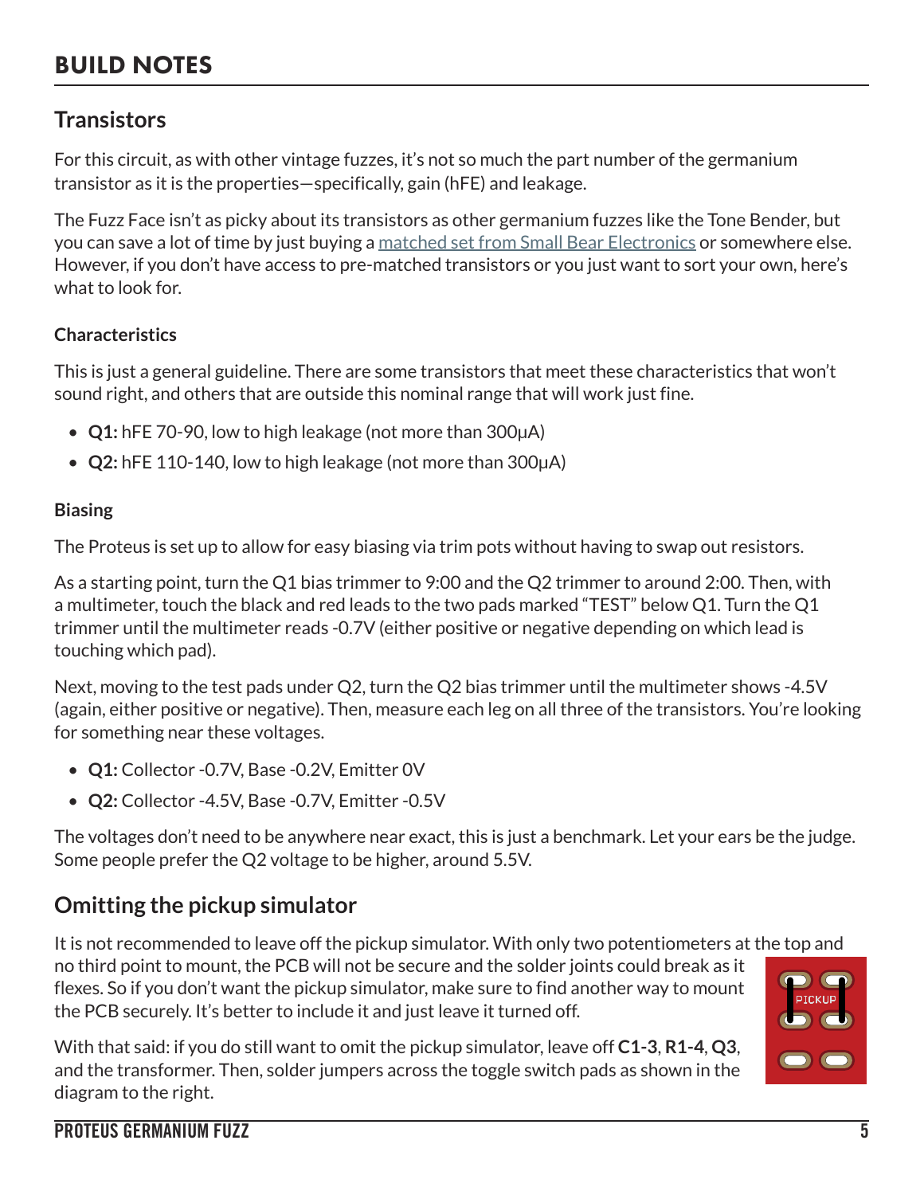# BUILD NOTES

### **Transistors**

For this circuit, as with other vintage fuzzes, it's not so much the part number of the germanium transistor as it is the properties—specifically, gain (hFE) and leakage.

The Fuzz Face isn't as picky about its transistors as other germanium fuzzes like the Tone Bender, but you can save a lot of time by just buying a [matched set from Small Bear Electronics](https://aionfx.com/link/ge-fuzz-face/) or somewhere else. However, if you don't have access to pre-matched transistors or you just want to sort your own, here's what to look for.

### **Characteristics**

This is just a general guideline. There are some transistors that meet these characteristics that won't sound right, and others that are outside this nominal range that will work just fine.

- **Q1:** hFE 70-90, low to high leakage (not more than 300μA)
- **Q2:** hFE 110-140, low to high leakage (not more than 300μA)

### **Biasing**

The Proteus is set up to allow for easy biasing via trim pots without having to swap out resistors.

As a starting point, turn the Q1 bias trimmer to 9:00 and the Q2 trimmer to around 2:00. Then, with a multimeter, touch the black and red leads to the two pads marked "TEST" below Q1. Turn the Q1 trimmer until the multimeter reads -0.7V (either positive or negative depending on which lead is touching which pad).

Next, moving to the test pads under Q2, turn the Q2 bias trimmer until the multimeter shows -4.5V (again, either positive or negative). Then, measure each leg on all three of the transistors. You're looking for something near these voltages.

- **Q1:** Collector -0.7V, Base -0.2V, Emitter 0V
- **Q2:** Collector -4.5V, Base -0.7V, Emitter -0.5V

The voltages don't need to be anywhere near exact, this is just a benchmark. Let your ears be the judge. Some people prefer the Q2 voltage to be higher, around 5.5V.

### **Omitting the pickup simulator**

It is not recommended to leave off the pickup simulator. With only two potentiometers at the top and no third point to mount, the PCB will not be secure and the solder joints could break as it flexes. So if you don't want the pickup simulator, make sure to find another way to mount the PCB securely. It's better to include it and just leave it turned off.

With that said: if you do still want to omit the pickup simulator, leave off **C1-3**, **R1-4**, **Q3**, and the transformer. Then, solder jumpers across the toggle switch pads as shown in the diagram to the right.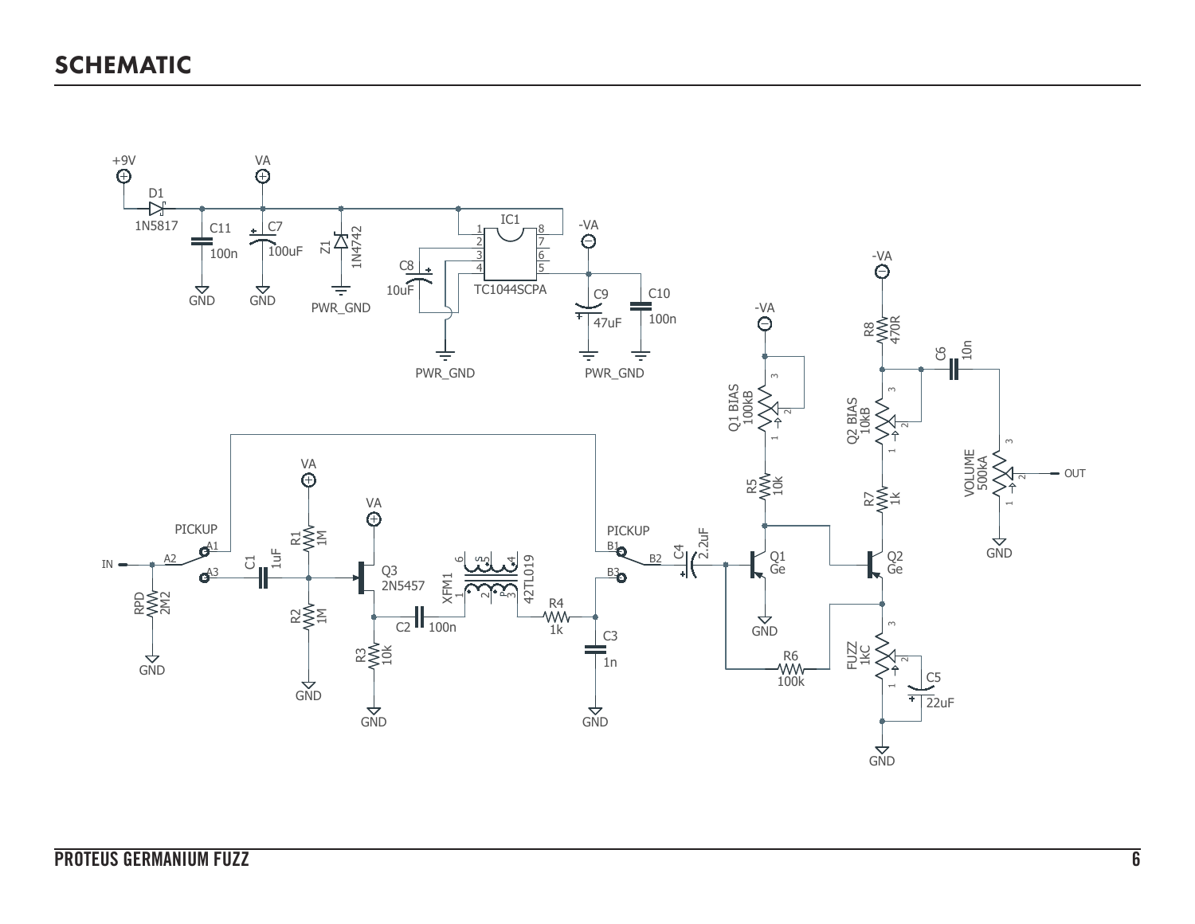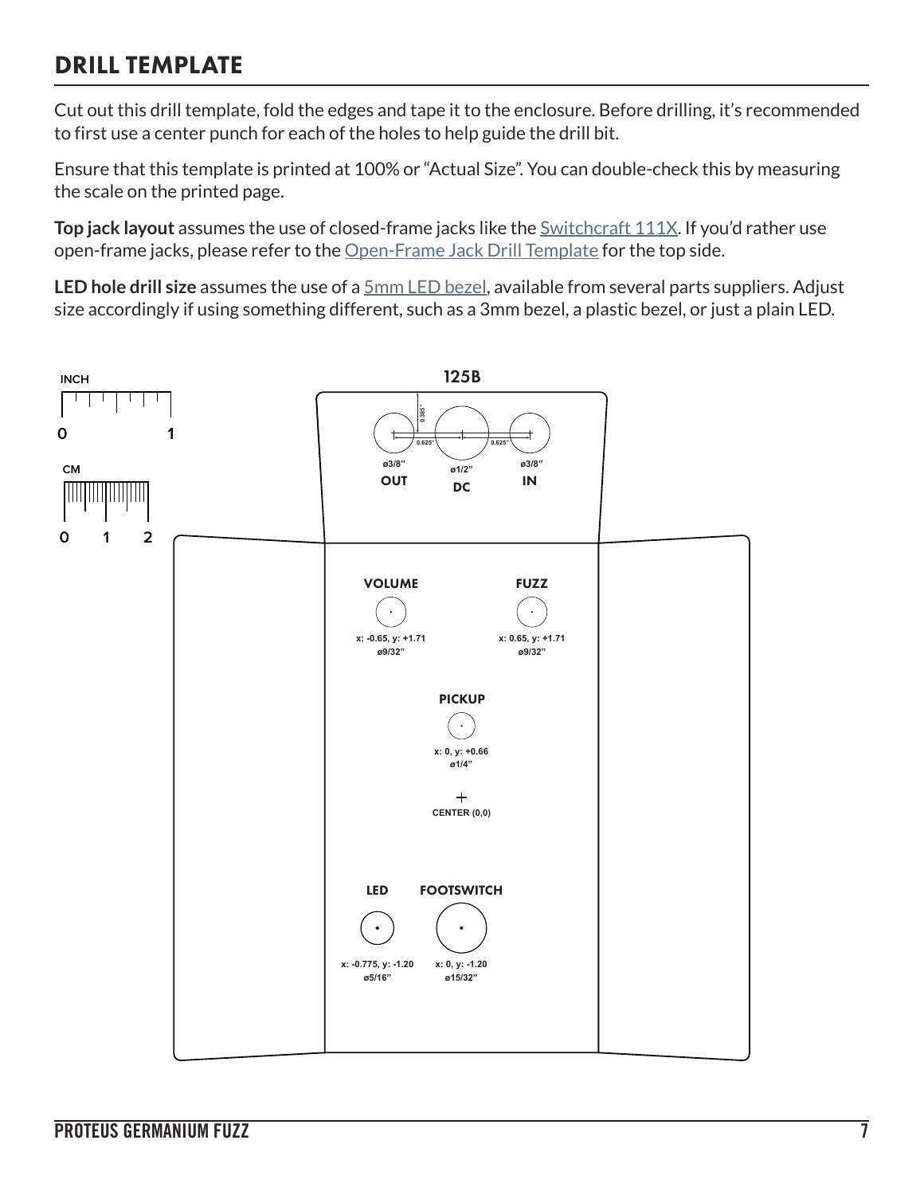## DRILL TEMPLATE

Cut out this drill template, fold the edges and tape it to the enclosure. Before drilling, it's recommended to first use a center punch for each of the holes to help guide the drill bit.

Ensure that this template is printed at 100% or "Actual Size". You can double-check this by measuring the scale on the printed page.

**Top jack layout** assumes the use of closed-frame jacks like the **Switchcraft 111X**. If you'd rather use open-frame jacks, please refer to the [Open-Frame Jack Drill Template](https://aionfx.com/link/open-frame-drill-template/) for the top side.

**LED hole drill size** assumes the use of a [5mm LED bezel,](https://aionfx.com/link/chrome-bezel-for-5mm-led/) available from several parts suppliers. Adjust size accordingly if using something different, such as a 3mm bezel, a plastic bezel, or just a plain LED.

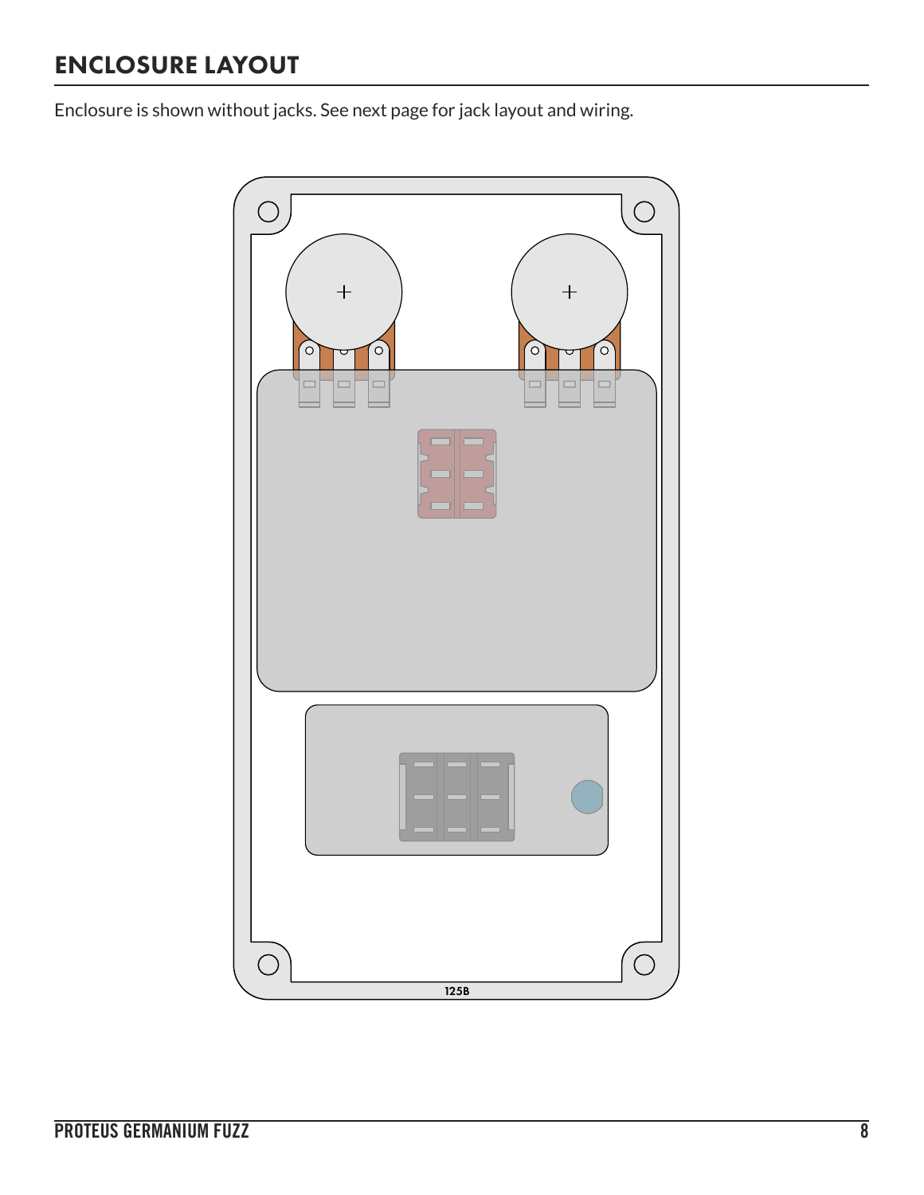# ENCLOSURE LAYOUT

Enclosure is shown without jacks. See next page for jack layout and wiring.

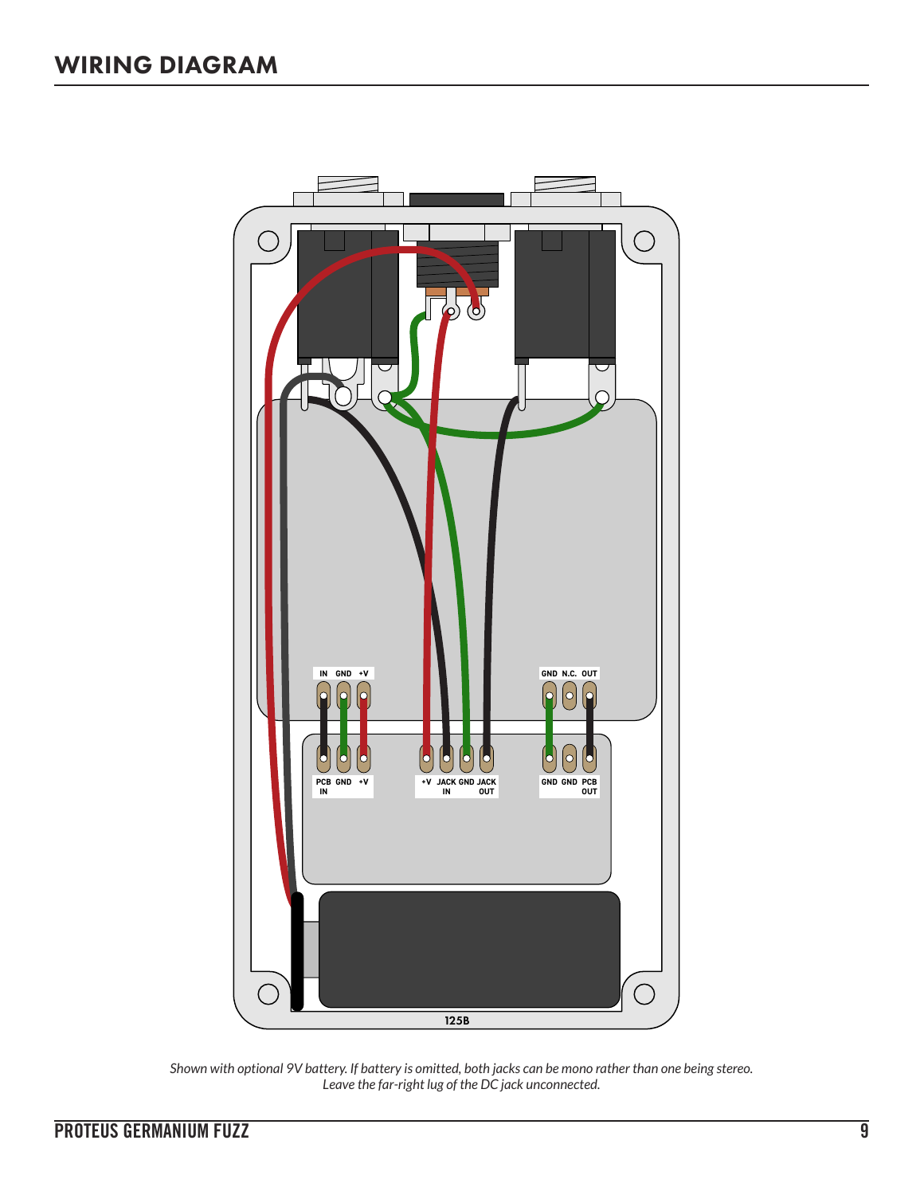

*Shown with optional 9V battery. If battery is omitted, both jacks can be mono rather than one being stereo. Leave the far-right lug of the DC jack unconnected.*